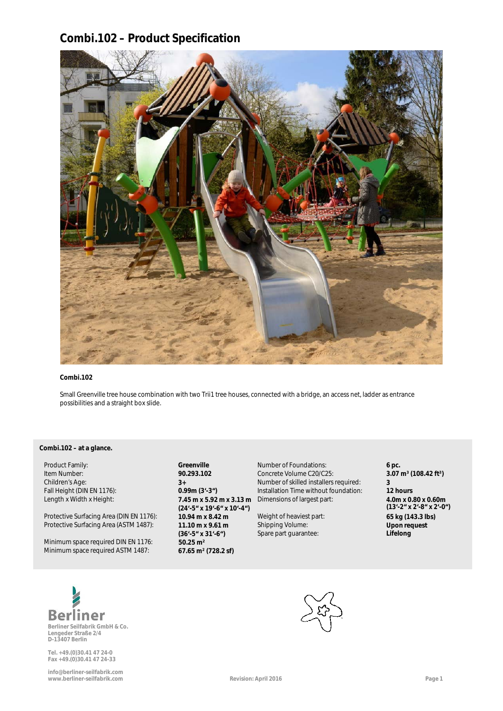## **Combi.102 – Product Specification**



### **Combi.102**

Small Greenville tree house combination with two Trii1 tree houses, connected with a bridge, an access net, ladder as entrance possibilities and a straight box slide.

### Combi.102 – at a glance.

Protective Surfacing Area (DIN EN 1176): **10.94 m x 8.42 m** Weight of heaviest part: **65 kg (143.3 lbs)**<br>Protective Surfacing Area (ASTM 1487): **11.10 m x 9.61 m** Shipping Volume: **1000 Tequest** Protective Surfacing Area (ASTM 1487):

Minimum space required DIN EN 1176: **50.25 m²** Minimum space required ASTM 1487: **67.65 m² (728.2 sf)**

**(24'-5" x 19'-6" x 10'-4") (36'-5" x 31'-6")**

Product Family: **Greenville Greenville** Mumber of Foundations: **6 pc. 6 pc. 6 pc. 11 product Family: 6 pc. 108.42 ft**<sup>3</sup> **90.293.102** Concrete Volume C20/C25: **3.07 90.293.102** Concrete Volume C20/C25: Children's Age: **3+** Number of skilled installers required: **3 Installation Time without foundation: 12 hours** Length x Width x Height: **7.45 m x 5.92 m x 3.13 m** Dimensions of largest part: **4.0m x 0.80 x 0.60m**

> Shipping Volume: Spare part guarantee:

**(13'-2" x 2'-8" x 2'-0") Upon request a Lifelong**



**Berliner Seilfabrik GmbH & Co. Lengeder Straße 2/4 D-13407 Berlin**

**Tel. +49.(0)30.41 47 24-0 Fax +49.(0)30.41 47 24-33**

**info@berliner-seilfabrik.com www.berliner-seilfabrik.com Revision: April 2016 Page 1**